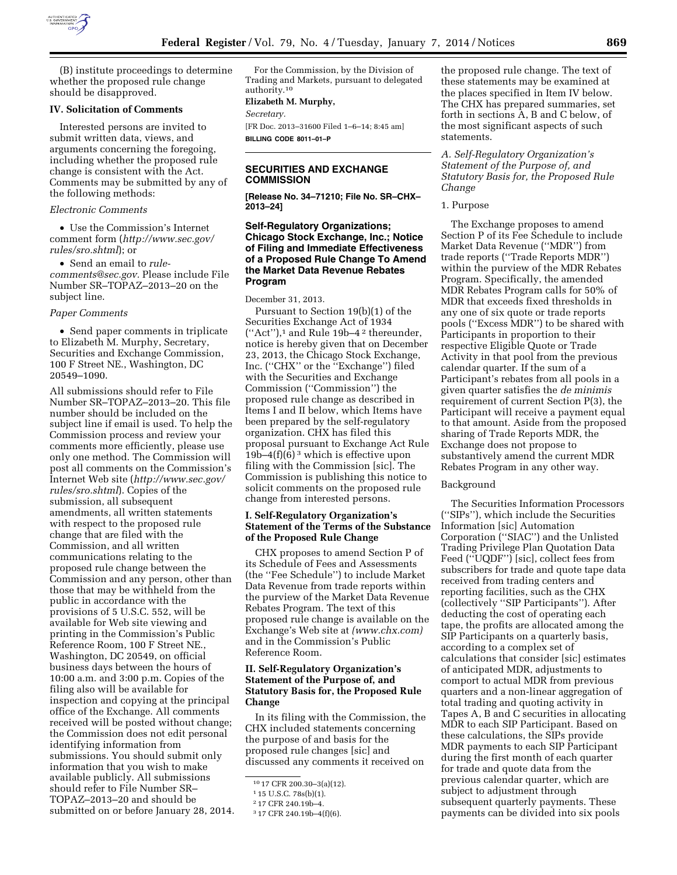

(B) institute proceedings to determine whether the proposed rule change should be disapproved.

### **IV. Solicitation of Comments**

Interested persons are invited to submit written data, views, and arguments concerning the foregoing, including whether the proposed rule change is consistent with the Act. Comments may be submitted by any of the following methods:

### *Electronic Comments*

• Use the Commission's Internet comment form (*[http://www.sec.gov/](http://www.sec.gov/rules/sro.shtml)  [rules/sro.shtml](http://www.sec.gov/rules/sro.shtml)*); or

• Send an email to *[rule](mailto:rule-comments@sec.gov)[comments@sec.gov.](mailto:rule-comments@sec.gov)* Please include File Number SR–TOPAZ–2013–20 on the subject line.

#### *Paper Comments*

• Send paper comments in triplicate to Elizabeth M. Murphy, Secretary, Securities and Exchange Commission, 100 F Street NE., Washington, DC 20549–1090.

All submissions should refer to File Number SR–TOPAZ–2013–20. This file number should be included on the subject line if email is used. To help the Commission process and review your comments more efficiently, please use only one method. The Commission will post all comments on the Commission's Internet Web site (*[http://www.sec.gov/](http://www.sec.gov/rules/sro.shtml)  [rules/sro.shtml](http://www.sec.gov/rules/sro.shtml)*). Copies of the submission, all subsequent amendments, all written statements with respect to the proposed rule change that are filed with the Commission, and all written communications relating to the proposed rule change between the Commission and any person, other than those that may be withheld from the public in accordance with the provisions of 5 U.S.C. 552, will be available for Web site viewing and printing in the Commission's Public Reference Room, 100 F Street NE., Washington, DC 20549, on official business days between the hours of 10:00 a.m. and 3:00 p.m. Copies of the filing also will be available for inspection and copying at the principal office of the Exchange. All comments received will be posted without change; the Commission does not edit personal identifying information from submissions. You should submit only information that you wish to make available publicly. All submissions should refer to File Number SR– TOPAZ–2013–20 and should be submitted on or before January 28, 2014.

For the Commission, by the Division of Trading and Markets, pursuant to delegated authority.10

#### **Elizabeth M. Murphy,**

*Secretary.* 

[FR Doc. 2013–31600 Filed 1–6–14; 8:45 am] **BILLING CODE 8011–01–P** 

# **SECURITIES AND EXCHANGE COMMISSION**

**[Release No. 34–71210; File No. SR–CHX– 2013–24]** 

# **Self-Regulatory Organizations; Chicago Stock Exchange, Inc.; Notice of Filing and Immediate Effectiveness of a Proposed Rule Change To Amend the Market Data Revenue Rebates Program**

December 31, 2013.

Pursuant to Section 19(b)(1) of the Securities Exchange Act of 1934 (''Act''),1 and Rule 19b–4 2 thereunder, notice is hereby given that on December 23, 2013, the Chicago Stock Exchange, Inc. (''CHX'' or the ''Exchange'') filed with the Securities and Exchange Commission (''Commission'') the proposed rule change as described in Items I and II below, which Items have been prepared by the self-regulatory organization. CHX has filed this proposal pursuant to Exchange Act Rule  $19b-4(f)(6)$ <sup>3</sup> which is effective upon filing with the Commission [sic]. The Commission is publishing this notice to solicit comments on the proposed rule change from interested persons.

# **I. Self-Regulatory Organization's Statement of the Terms of the Substance of the Proposed Rule Change**

CHX proposes to amend Section P of its Schedule of Fees and Assessments (the ''Fee Schedule'') to include Market Data Revenue from trade reports within the purview of the Market Data Revenue Rebates Program. The text of this proposed rule change is available on the Exchange's Web site at *[\(www.chx.com\)](http://www.chx.com)*  and in the Commission's Public Reference Room.

# **II. Self-Regulatory Organization's Statement of the Purpose of, and Statutory Basis for, the Proposed Rule Change**

In its filing with the Commission, the CHX included statements concerning the purpose of and basis for the proposed rule changes [sic] and discussed any comments it received on

the proposed rule change. The text of these statements may be examined at the places specified in Item IV below. The CHX has prepared summaries, set forth in sections A, B and C below, of the most significant aspects of such statements.

*A. Self-Regulatory Organization's Statement of the Purpose of, and Statutory Basis for, the Proposed Rule Change* 

1. Purpose

The Exchange proposes to amend Section P of its Fee Schedule to include Market Data Revenue (''MDR'') from trade reports (''Trade Reports MDR'') within the purview of the MDR Rebates Program. Specifically, the amended MDR Rebates Program calls for 50% of MDR that exceeds fixed thresholds in any one of six quote or trade reports pools (''Excess MDR'') to be shared with Participants in proportion to their respective Eligible Quote or Trade Activity in that pool from the previous calendar quarter. If the sum of a Participant's rebates from all pools in a given quarter satisfies the *de minimis*  requirement of current Section P(3), the Participant will receive a payment equal to that amount. Aside from the proposed sharing of Trade Reports MDR, the Exchange does not propose to substantively amend the current MDR Rebates Program in any other way.

#### Background

The Securities Information Processors (''SIPs''), which include the Securities Information [sic] Automation Corporation (''SIAC'') and the Unlisted Trading Privilege Plan Quotation Data Feed (''UQDF'') [sic], collect fees from subscribers for trade and quote tape data received from trading centers and reporting facilities, such as the CHX (collectively ''SIP Participants''). After deducting the cost of operating each tape, the profits are allocated among the SIP Participants on a quarterly basis, according to a complex set of calculations that consider [sic] estimates of anticipated MDR, adjustments to comport to actual MDR from previous quarters and a non-linear aggregation of total trading and quoting activity in Tapes A, B and C securities in allocating MDR to each SIP Participant. Based on these calculations, the SIPs provide MDR payments to each SIP Participant during the first month of each quarter for trade and quote data from the previous calendar quarter, which are subject to adjustment through subsequent quarterly payments. These payments can be divided into six pools

<sup>10</sup> 17 CFR 200.30–3(a)(12).

<sup>1</sup> 15 U.S.C. 78s(b)(1).

<sup>2</sup> 17 CFR 240.19b–4.

<sup>3</sup> 17 CFR 240.19b–4(f)(6).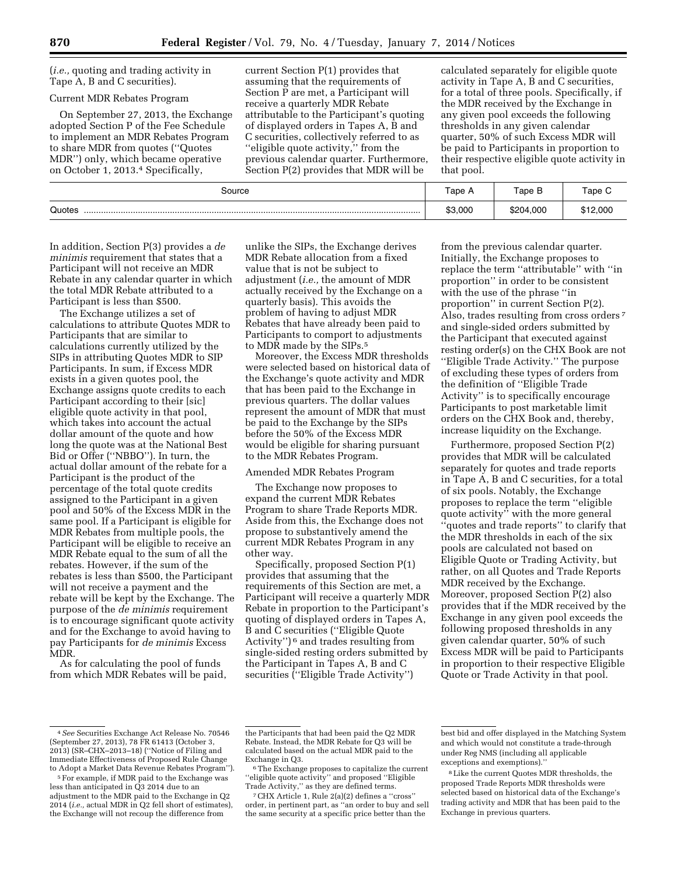(*i.e.,* quoting and trading activity in Tape A, B and C securities).

# Current MDR Rebates Program

On September 27, 2013, the Exchange adopted Section P of the Fee Schedule to implement an MDR Rebates Program to share MDR from quotes (''Quotes MDR'') only, which became operative on October 1, 2013.4 Specifically,

current Section P(1) provides that assuming that the requirements of Section P are met, a Participant will receive a quarterly MDR Rebate attributable to the Participant's quoting of displayed orders in Tapes A, B and C securities, collectively referred to as ''eligible quote activity,'' from the previous calendar quarter. Furthermore, Section P(2) provides that MDR will be

calculated separately for eligible quote activity in Tape A, B and C securities, for a total of three pools. Specifically, if the MDR received by the Exchange in any given pool exceeds the following thresholds in any given calendar quarter, 50% of such Excess MDR will be paid to Participants in proportion to their respective eligible quote activity in that pool.

| Source | Tape A  | Tape B    | Tape C   |
|--------|---------|-----------|----------|
| Quotes | \$3,000 | \$204,000 | \$12,000 |

In addition, Section P(3) provides a *de minimis* requirement that states that a Participant will not receive an MDR Rebate in any calendar quarter in which the total MDR Rebate attributed to a Participant is less than \$500.

The Exchange utilizes a set of calculations to attribute Quotes MDR to Participants that are similar to calculations currently utilized by the SIPs in attributing Quotes MDR to SIP Participants. In sum, if Excess MDR exists in a given quotes pool, the Exchange assigns quote credits to each Participant according to their [sic] eligible quote activity in that pool, which takes into account the actual dollar amount of the quote and how long the quote was at the National Best Bid or Offer (''NBBO''). In turn, the actual dollar amount of the rebate for a Participant is the product of the percentage of the total quote credits assigned to the Participant in a given pool and 50% of the Excess MDR in the same pool. If a Participant is eligible for MDR Rebates from multiple pools, the Participant will be eligible to receive an MDR Rebate equal to the sum of all the rebates. However, if the sum of the rebates is less than \$500, the Participant will not receive a payment and the rebate will be kept by the Exchange. The purpose of the *de minimis* requirement is to encourage significant quote activity and for the Exchange to avoid having to pay Participants for *de minimis* Excess MDR.

As for calculating the pool of funds from which MDR Rebates will be paid,

unlike the SIPs, the Exchange derives MDR Rebate allocation from a fixed value that is not be subject to adjustment (*i.e.,* the amount of MDR actually received by the Exchange on a quarterly basis). This avoids the problem of having to adjust MDR Rebates that have already been paid to Participants to comport to adjustments to MDR made by the SIPs.<sup>5</sup>

Moreover, the Excess MDR thresholds were selected based on historical data of the Exchange's quote activity and MDR that has been paid to the Exchange in previous quarters. The dollar values represent the amount of MDR that must be paid to the Exchange by the SIPs before the 50% of the Excess MDR would be eligible for sharing pursuant to the MDR Rebates Program.

#### Amended MDR Rebates Program

The Exchange now proposes to expand the current MDR Rebates Program to share Trade Reports MDR. Aside from this, the Exchange does not propose to substantively amend the current MDR Rebates Program in any other way.

Specifically, proposed Section P(1) provides that assuming that the requirements of this Section are met, a Participant will receive a quarterly MDR Rebate in proportion to the Participant's quoting of displayed orders in Tapes A, B and C securities (''Eligible Quote Activity'') 6 and trades resulting from single-sided resting orders submitted by the Participant in Tapes A, B and C securities (''Eligible Trade Activity'')

from the previous calendar quarter. Initially, the Exchange proposes to replace the term ''attributable'' with ''in proportion'' in order to be consistent with the use of the phrase ''in proportion'' in current Section P(2). Also, trades resulting from cross orders 7 and single-sided orders submitted by the Participant that executed against resting order(s) on the CHX Book are not ''Eligible Trade Activity.'' The purpose of excluding these types of orders from the definition of ''Eligible Trade Activity'' is to specifically encourage Participants to post marketable limit orders on the CHX Book and, thereby, increase liquidity on the Exchange.

Furthermore, proposed Section P(2) provides that MDR will be calculated separately for quotes and trade reports in Tape A, B and C securities, for a total of six pools. Notably, the Exchange proposes to replace the term ''eligible quote activity'' with the more general ''quotes and trade reports'' to clarify that the MDR thresholds in each of the six pools are calculated not based on Eligible Quote or Trading Activity, but rather, on all Quotes and Trade Reports MDR received by the Exchange. Moreover, proposed Section P(2) also provides that if the MDR received by the Exchange in any given pool exceeds the following proposed thresholds in any given calendar quarter, 50% of such Excess MDR will be paid to Participants in proportion to their respective Eligible Quote or Trade Activity in that pool.

7CHX Article 1, Rule 2(a)(2) defines a ''cross'' order, in pertinent part, as ''an order to buy and sell the same security at a specific price better than the

<sup>4</sup>*See* Securities Exchange Act Release No. 70546 (September 27, 2013), 78 FR 61413 (October 3, 2013) (SR–CHX–2013–18) (''Notice of Filing and Immediate Effectiveness of Proposed Rule Change to Adopt a Market Data Revenue Rebates Program'').

<sup>5</sup>For example, if MDR paid to the Exchange was less than anticipated in Q3 2014 due to an adjustment to the MDR paid to the Exchange in Q2 2014 (*i.e.,* actual MDR in Q2 fell short of estimates), the Exchange will not recoup the difference from

the Participants that had been paid the Q2 MDR Rebate. Instead, the MDR Rebate for Q3 will be calculated based on the actual MDR paid to the

Exchange in Q3.<br><sup>6</sup>The Exchange proposes to capitalize the current ''eligible quote activity'' and proposed ''Eligible Trade Activity,'' as they are defined terms.

best bid and offer displayed in the Matching System and which would not constitute a trade-through under Reg NMS (including all applicable exceptions and exemptions).''

<sup>8</sup>Like the current Quotes MDR thresholds, the proposed Trade Reports MDR thresholds were selected based on historical data of the Exchange's trading activity and MDR that has been paid to the Exchange in previous quarters.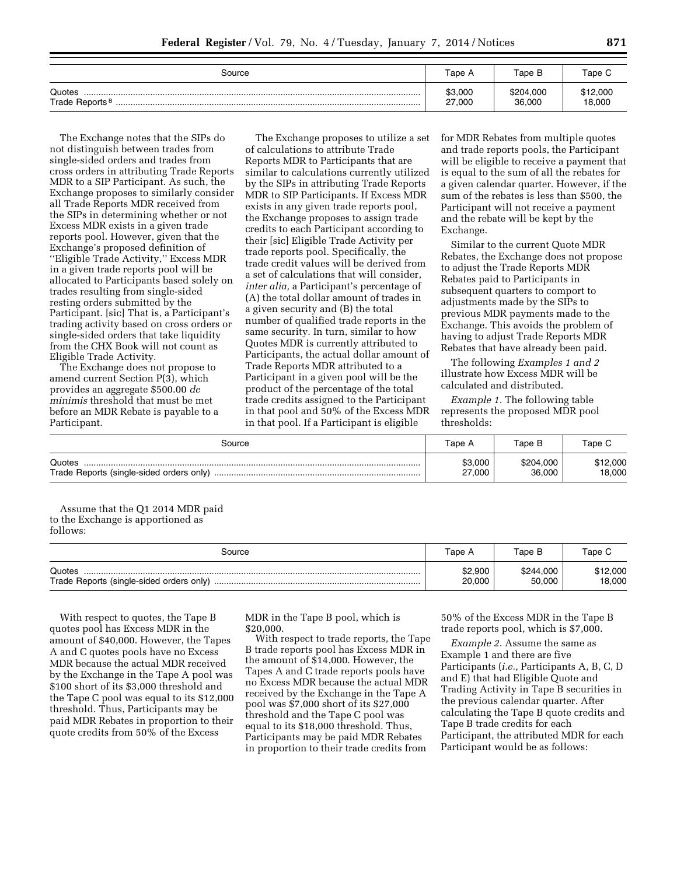| Source                               | Tape A            | Tape B              | Tape C             |
|--------------------------------------|-------------------|---------------------|--------------------|
| Quotes<br>Trade Reports <sup>8</sup> | \$3,000<br>27,000 | \$204.000<br>36,000 | \$12,000<br>18,000 |

The Exchange notes that the SIPs do not distinguish between trades from single-sided orders and trades from cross orders in attributing Trade Reports MDR to a SIP Participant. As such, the Exchange proposes to similarly consider all Trade Reports MDR received from the SIPs in determining whether or not Excess MDR exists in a given trade reports pool. However, given that the Exchange's proposed definition of ''Eligible Trade Activity,'' Excess MDR in a given trade reports pool will be allocated to Participants based solely on trades resulting from single-sided resting orders submitted by the Participant. [sic] That is, a Participant's trading activity based on cross orders or single-sided orders that take liquidity from the CHX Book will not count as Eligible Trade Activity.

The Exchange does not propose to amend current Section P(3), which provides an aggregate \$500.00 *de minimis* threshold that must be met before an MDR Rebate is payable to a Participant.

The Exchange proposes to utilize a set of calculations to attribute Trade Reports MDR to Participants that are similar to calculations currently utilized by the SIPs in attributing Trade Reports MDR to SIP Participants. If Excess MDR exists in any given trade reports pool, the Exchange proposes to assign trade credits to each Participant according to their [sic] Eligible Trade Activity per trade reports pool. Specifically, the trade credit values will be derived from a set of calculations that will consider, *inter alia,* a Participant's percentage of (A) the total dollar amount of trades in a given security and (B) the total number of qualified trade reports in the same security. In turn, similar to how Quotes MDR is currently attributed to Participants, the actual dollar amount of Trade Reports MDR attributed to a Participant in a given pool will be the product of the percentage of the total trade credits assigned to the Participant in that pool and 50% of the Excess MDR in that pool. If a Participant is eligible

for MDR Rebates from multiple quotes and trade reports pools, the Participant will be eligible to receive a payment that is equal to the sum of all the rebates for a given calendar quarter. However, if the sum of the rebates is less than \$500, the Participant will not receive a payment and the rebate will be kept by the Exchange.

Similar to the current Quote MDR Rebates, the Exchange does not propose to adjust the Trade Reports MDR Rebates paid to Participants in subsequent quarters to comport to adjustments made by the SIPs to previous MDR payments made to the Exchange. This avoids the problem of having to adjust Trade Reports MDR Rebates that have already been paid.

The following *Examples 1 and 2*  illustrate how Excess MDR will be calculated and distributed.

*Example 1.* The following table represents the proposed MDR pool thresholds:

| Source | Tape A            | Tape B              | Tape C             |
|--------|-------------------|---------------------|--------------------|
| Quotes | \$3,000<br>27,000 | \$204.000<br>36,000 | \$12,000<br>18,000 |

Assume that the Q1 2014 MDR paid to the Exchange is apportioned as follows:

| Source | Tape A  | Tape B    | Tape C   |
|--------|---------|-----------|----------|
| Quotes | \$2,900 | \$244,000 | \$12,000 |
|        | 20,000  | 50,000    | 18,000   |

With respect to quotes, the Tape B quotes pool has Excess MDR in the amount of \$40,000. However, the Tapes A and C quotes pools have no Excess MDR because the actual MDR received by the Exchange in the Tape A pool was \$100 short of its \$3,000 threshold and the Tape C pool was equal to its \$12,000 threshold. Thus, Participants may be paid MDR Rebates in proportion to their quote credits from 50% of the Excess

MDR in the Tape B pool, which is \$20,000.

With respect to trade reports, the Tape B trade reports pool has Excess MDR in the amount of \$14,000. However, the Tapes A and C trade reports pools have no Excess MDR because the actual MDR received by the Exchange in the Tape A pool was \$7,000 short of its \$27,000 threshold and the Tape C pool was equal to its \$18,000 threshold. Thus, Participants may be paid MDR Rebates in proportion to their trade credits from

50% of the Excess MDR in the Tape B trade reports pool, which is \$7,000.

*Example 2.* Assume the same as Example 1 and there are five Participants (*i.e.,* Participants A, B, C, D and E) that had Eligible Quote and Trading Activity in Tape B securities in the previous calendar quarter. After calculating the Tape B quote credits and Tape B trade credits for each Participant, the attributed MDR for each Participant would be as follows: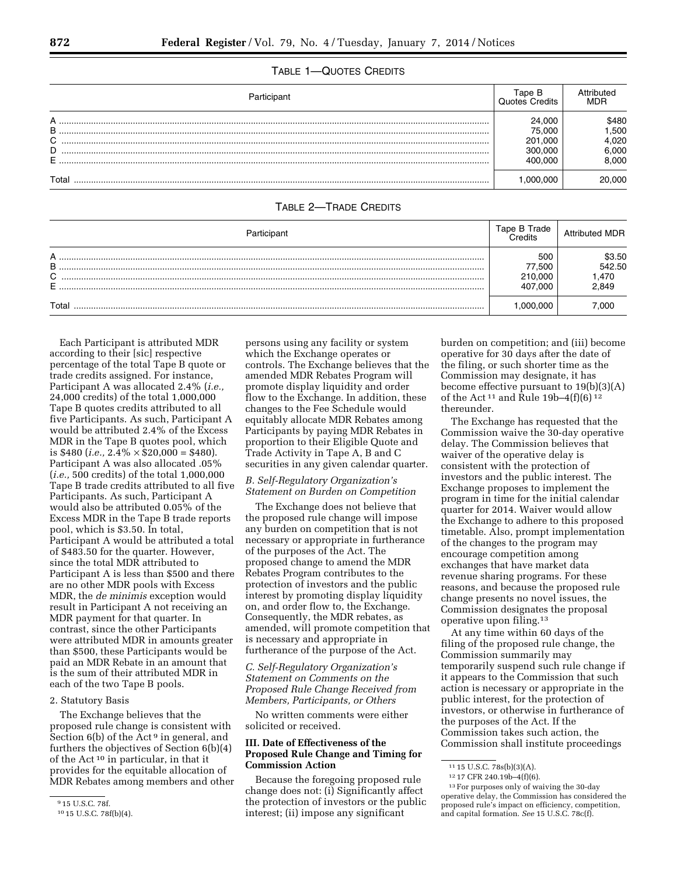# TABLE 1—QUOTES CREDITS

| Participant  | Гаре В<br>Quotes Credits. | Attributed<br>MDR |
|--------------|---------------------------|-------------------|
| $\mathsf{A}$ | 24.000                    | 3480              |
| B<br>C       | 75.000<br>201.000         | .500<br>.020      |
| D            | 300.000                   | 6.000             |
| E            | 100.00C                   | 3.000             |
| Tota         | .000.000                  | .000              |

# TABLE 2—TRADE CREDITS

| Participant                | Tape B Trade                        | <b>Attributed MDR</b>              |
|----------------------------|-------------------------------------|------------------------------------|
| А<br>B<br>$\sim$<br>◡<br>E | 500<br>77.500<br>210.000<br>407.000 | \$3.50<br>542.50<br>l,470<br>2,849 |
| $\tau$ otai                | 000.000                             | 000                                |

Each Participant is attributed MDR according to their [sic] respective percentage of the total Tape B quote or trade credits assigned. For instance, Participant A was allocated 2.4% (*i.e.,*  24,000 credits) of the total 1,000,000 Tape B quotes credits attributed to all five Participants. As such, Participant A would be attributed 2.4% of the Excess MDR in the Tape B quotes pool, which is \$480 (*i.e.*,  $2.4\% \times $20,000 = $480$ ). Participant A was also allocated .05% (*i.e.,* 500 credits) of the total 1,000,000 Tape B trade credits attributed to all five Participants. As such, Participant A would also be attributed 0.05% of the Excess MDR in the Tape B trade reports pool, which is \$3.50. In total, Participant A would be attributed a total of \$483.50 for the quarter. However, since the total MDR attributed to Participant A is less than \$500 and there are no other MDR pools with Excess MDR, the *de minimis* exception would result in Participant A not receiving an MDR payment for that quarter. In contrast, since the other Participants were attributed MDR in amounts greater than \$500, these Participants would be paid an MDR Rebate in an amount that is the sum of their attributed MDR in each of the two Tape B pools.

#### 2. Statutory Basis

The Exchange believes that the proposed rule change is consistent with Section  $6(b)$  of the Act<sup>9</sup> in general, and furthers the objectives of Section 6(b)(4) of the Act 10 in particular, in that it provides for the equitable allocation of MDR Rebates among members and other persons using any facility or system which the Exchange operates or controls. The Exchange believes that the amended MDR Rebates Program will promote display liquidity and order flow to the Exchange. In addition, these changes to the Fee Schedule would equitably allocate MDR Rebates among Participants by paying MDR Rebates in proportion to their Eligible Quote and Trade Activity in Tape A, B and C securities in any given calendar quarter.

# *B. Self-Regulatory Organization's Statement on Burden on Competition*

The Exchange does not believe that the proposed rule change will impose any burden on competition that is not necessary or appropriate in furtherance of the purposes of the Act. The proposed change to amend the MDR Rebates Program contributes to the protection of investors and the public interest by promoting display liquidity on, and order flow to, the Exchange. Consequently, the MDR rebates, as amended, will promote competition that is necessary and appropriate in furtherance of the purpose of the Act.

# *C. Self-Regulatory Organization's Statement on Comments on the Proposed Rule Change Received from Members, Participants, or Others*

No written comments were either solicited or received.

### **III. Date of Effectiveness of the Proposed Rule Change and Timing for Commission Action**

Because the foregoing proposed rule change does not: (i) Significantly affect the protection of investors or the public interest; (ii) impose any significant

burden on competition; and (iii) become operative for 30 days after the date of the filing, or such shorter time as the Commission may designate, it has become effective pursuant to 19(b)(3)(A) of the Act 11 and Rule 19b–4(f)(6) 12 thereunder.

The Exchange has requested that the Commission waive the 30-day operative delay. The Commission believes that waiver of the operative delay is consistent with the protection of investors and the public interest. The Exchange proposes to implement the program in time for the initial calendar quarter for 2014. Waiver would allow the Exchange to adhere to this proposed timetable. Also, prompt implementation of the changes to the program may encourage competition among exchanges that have market data revenue sharing programs. For these reasons, and because the proposed rule change presents no novel issues, the Commission designates the proposal operative upon filing.13

At any time within 60 days of the filing of the proposed rule change, the Commission summarily may temporarily suspend such rule change if it appears to the Commission that such action is necessary or appropriate in the public interest, for the protection of investors, or otherwise in furtherance of the purposes of the Act. If the Commission takes such action, the Commission shall institute proceedings

<sup>9</sup> 15 U.S.C. 78f.

<sup>10</sup> 15 U.S.C. 78f(b)(4).

<sup>11</sup> 15 U.S.C. 78s(b)(3)(A).

<sup>12</sup> 17 CFR 240.19b–4(f)(6).

<sup>13</sup>For purposes only of waiving the 30-day operative delay, the Commission has considered the proposed rule's impact on efficiency, competition, and capital formation. *See* 15 U.S.C. 78c(f).